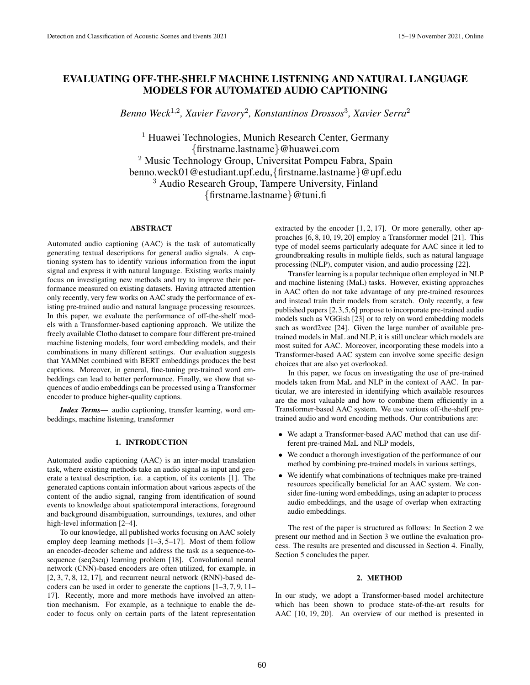# EVALUATING OFF-THE-SHELF MACHINE LISTENING AND NATURAL LANGUAGE MODELS FOR AUTOMATED AUDIO CAPTIONING

*Benno Weck*<sup>1</sup>,<sup>2</sup> *, Xavier Favory*<sup>2</sup> *, Konstantinos Drossos*<sup>3</sup> *, Xavier Serra*<sup>2</sup>

<sup>1</sup> Huawei Technologies, Munich Research Center, Germany {firstname.lastname}@huawei.com <sup>2</sup> Music Technology Group, Universitat Pompeu Fabra, Spain benno.weck01@estudiant.upf.edu,{firstname.lastname}@upf.edu <sup>3</sup> Audio Research Group, Tampere University, Finland {firstname.lastname}@tuni.fi

# ABSTRACT

Automated audio captioning (AAC) is the task of automatically generating textual descriptions for general audio signals. A captioning system has to identify various information from the input signal and express it with natural language. Existing works mainly focus on investigating new methods and try to improve their performance measured on existing datasets. Having attracted attention only recently, very few works on AAC study the performance of existing pre-trained audio and natural language processing resources. In this paper, we evaluate the performance of off-the-shelf models with a Transformer-based captioning approach. We utilize the freely available Clotho dataset to compare four different pre-trained machine listening models, four word embedding models, and their combinations in many different settings. Our evaluation suggests that YAMNet combined with BERT embeddings produces the best captions. Moreover, in general, fine-tuning pre-trained word embeddings can lead to better performance. Finally, we show that sequences of audio embeddings can be processed using a Transformer encoder to produce higher-quality captions.

*Index Terms*— audio captioning, transfer learning, word embeddings, machine listening, transformer

#### 1. INTRODUCTION

Automated audio captioning (AAC) is an inter-modal translation task, where existing methods take an audio signal as input and generate a textual description, i.e. a caption, of its contents [1]. The generated captions contain information about various aspects of the content of the audio signal, ranging from identification of sound events to knowledge about spatiotemporal interactions, foreground and background disambiguation, surroundings, textures, and other high-level information [2–4].

To our knowledge, all published works focusing on AAC solely employ deep learning methods [1–3, 5–17]. Most of them follow an encoder-decoder scheme and address the task as a sequence-tosequence (seq2seq) learning problem [18]. Convolutional neural network (CNN)-based encoders are often utilized, for example, in [2, 3, 7, 8, 12, 17], and recurrent neural network (RNN)-based decoders can be used in order to generate the captions [1–3, 7, 9, 11– 17]. Recently, more and more methods have involved an attention mechanism. For example, as a technique to enable the decoder to focus only on certain parts of the latent representation extracted by the encoder [1, 2, 17]. Or more generally, other approaches [6, 8, 10, 19, 20] employ a Transformer model [21]. This type of model seems particularly adequate for AAC since it led to groundbreaking results in multiple fields, such as natural language processing (NLP), computer vision, and audio processing [22].

Transfer learning is a popular technique often employed in NLP and machine listening (MaL) tasks. However, existing approaches in AAC often do not take advantage of any pre-trained resources and instead train their models from scratch. Only recently, a few published papers [2,3,5,6] propose to incorporate pre-trained audio models such as VGGish [23] or to rely on word embedding models such as word2vec [24]. Given the large number of available pretrained models in MaL and NLP, it is still unclear which models are most suited for AAC. Moreover, incorporating these models into a Transformer-based AAC system can involve some specific design choices that are also yet overlooked.

In this paper, we focus on investigating the use of pre-trained models taken from MaL and NLP in the context of AAC. In particular, we are interested in identifying which available resources are the most valuable and how to combine them efficiently in a Transformer-based AAC system. We use various off-the-shelf pretrained audio and word encoding methods. Our contributions are:

- We adapt a Transformer-based AAC method that can use different pre-trained MaL and NLP models,
- We conduct a thorough investigation of the performance of our method by combining pre-trained models in various settings,
- We identify what combinations of techniques make pre-trained resources specifically beneficial for an AAC system. We consider fine-tuning word embeddings, using an adapter to process audio embeddings, and the usage of overlap when extracting audio embeddings.

The rest of the paper is structured as follows: In Section 2 we present our method and in Section 3 we outline the evaluation process. The results are presented and discussed in Section 4. Finally, Section 5 concludes the paper.

#### 2. METHOD

In our study, we adopt a Transformer-based model architecture which has been shown to produce state-of-the-art results for AAC [10, 19, 20]. An overview of our method is presented in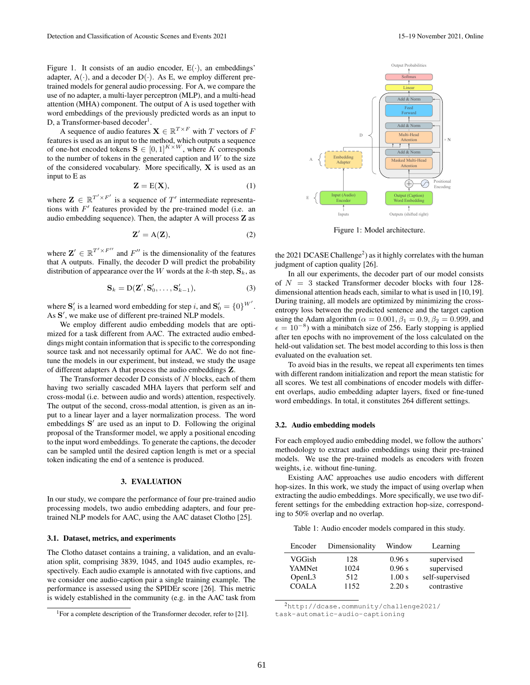Figure 1. It consists of an audio encoder,  $E(\cdot)$ , an embeddings' adapter,  $A(\cdot)$ , and a decoder  $D(\cdot)$ . As E, we employ different pretrained models for general audio processing. For A, we compare the use of no adapter, a multi-layer perceptron (MLP), and a multi-head attention (MHA) component. The output of A is used together with word embeddings of the previously predicted words as an input to D, a Transformer-based decoder<sup>1</sup>.

A sequence of audio features  $\mathbf{X} \in \mathbb{R}^{T \times F}$  with T vectors of F features is used as an input to the method, which outputs a sequence of one-hot encoded tokens  $S \in [0,1]^{K \times W}$ , where K corresponds to the number of tokens in the generated caption and  $W$  to the size of the considered vocabulary. More specifically, X is used as an input to E as

$$
\mathbf{Z} = \mathbf{E}(\mathbf{X}),\tag{1}
$$

where  $\mathbf{Z} \in \mathbb{R}^{T' \times F'}$  is a sequence of  $T'$  intermediate representations with  $F'$  features provided by the pre-trained model (i.e. an audio embedding sequence). Then, the adapter A will process Z as

$$
\mathbf{Z}' = \mathbf{A}(\mathbf{Z}),\tag{2}
$$

where  $\mathbf{Z}' \in \mathbb{R}^{T' \times F''}$  and  $F''$  is the dimensionality of the features that A outputs. Finally, the decoder D will predict the probability distribution of appearance over the W words at the k-th step,  $\mathbf{S}_k$ , as

$$
\mathbf{S}_k = \mathbf{D}(\mathbf{Z}', \mathbf{S}'_0, \dots, \mathbf{S}'_{k-1}),\tag{3}
$$

where  $\mathbf{S}'_i$  is a learned word embedding for step i, and  $\mathbf{S}'_0 = \{0\}^{W'}$ . As S', we make use of different pre-trained NLP models.

We employ different audio embedding models that are optimized for a task different from AAC. The extracted audio embeddings might contain information that is specific to the corresponding source task and not necessarily optimal for AAC. We do not finetune the models in our experiment, but instead, we study the usage of different adapters A that process the audio embeddings Z.

The Transformer decoder  $D$  consists of  $N$  blocks, each of them having two serially cascaded MHA layers that perform self and cross-modal (i.e. between audio and words) attention, respectively. The output of the second, cross-modal attention, is given as an input to a linear layer and a layer normalization process. The word embeddings  $S'$  are used as an input to D. Following the original proposal of the Transformer model, we apply a positional encoding to the input word embeddings. To generate the captions, the decoder can be sampled until the desired caption length is met or a special token indicating the end of a sentence is produced.

## 3. EVALUATION

In our study, we compare the performance of four pre-trained audio processing models, two audio embedding adapters, and four pretrained NLP models for AAC, using the AAC dataset Clotho [25].

#### 3.1. Dataset, metrics, and experiments

The Clotho dataset contains a training, a validation, and an evaluation split, comprising 3839, 1045, and 1045 audio examples, respectively. Each audio example is annotated with five captions, and we consider one audio-caption pair a single training example. The performance is assessed using the SPIDEr score [26]. This metric is widely established in the community (e.g. in the AAC task from



Figure 1: Model architecture.

the 2021 DCASE Challenge<sup>2</sup>) as it highly correlates with the human judgment of caption quality [26].

In all our experiments, the decoder part of our model consists of  $N = 3$  stacked Transformer decoder blocks with four 128dimensional attention heads each, similar to what is used in [10,19]. During training, all models are optimized by minimizing the crossentropy loss between the predicted sentence and the target caption using the Adam algorithm ( $\alpha = 0.001$ ,  $\beta_1 = 0.9$ ,  $\beta_2 = 0.999$ , and  $\epsilon = 10^{-8}$ ) with a minibatch size of 256. Early stopping is applied after ten epochs with no improvement of the loss calculated on the held-out validation set. The best model according to this loss is then evaluated on the evaluation set.

To avoid bias in the results, we repeat all experiments ten times with different random initialization and report the mean statistic for all scores. We test all combinations of encoder models with different overlaps, audio embedding adapter layers, fixed or fine-tuned word embeddings. In total, it constitutes 264 different settings.

#### 3.2. Audio embedding models

For each employed audio embedding model, we follow the authors' methodology to extract audio embeddings using their pre-trained models. We use the pre-trained models as encoders with frozen weights, i.e. without fine-tuning.

Existing AAC approaches use audio encoders with different hop-sizes. In this work, we study the impact of using overlap when extracting the audio embeddings. More specifically, we use two different settings for the embedding extraction hop-size, corresponding to 50% overlap and no overlap.

Table 1: Audio encoder models compared in this study.

| Encoder       | Dimensionality | Window | Learning        |
|---------------|----------------|--------|-----------------|
| <b>VGGish</b> | 128            | 0.96 s | supervised      |
| YAMNet        | 1024           | 0.96 s | supervised      |
| OpenL3        | 512            | 1.00 s | self-supervised |
| <b>COALA</b>  | 1152           | 2.20 s | contrastive     |

<sup>2</sup>http://dcase.community/challenge2021/

<sup>&</sup>lt;sup>1</sup>For a complete description of the Transformer decoder, refer to [21].

task-automatic-audio-captioning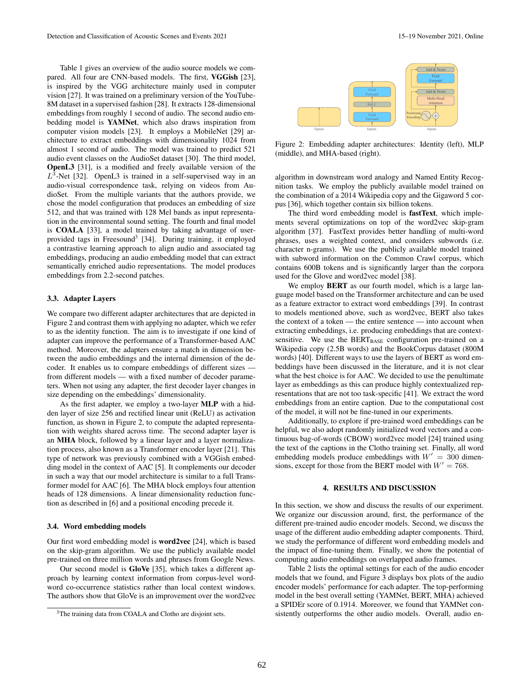Table 1 gives an overview of the audio source models we compared. All four are CNN-based models. The first, VGGish [23], is inspired by the VGG architecture mainly used in computer vision [27]. It was trained on a preliminary version of the YouTube-8M dataset in a supervised fashion [28]. It extracts 128-dimensional embeddings from roughly 1 second of audio. The second audio embedding model is YAMNet, which also draws inspiration from computer vision models [23]. It employs a MobileNet [29] architecture to extract embeddings with dimensionality 1024 from almost 1 second of audio. The model was trained to predict 521 audio event classes on the AudioSet dataset [30]. The third model, OpenL3 [31], is a modified and freely available version of the  $L^3$ -Net [32]. OpenL3 is trained in a self-supervised way in an audio-visual correspondence task, relying on videos from AudioSet. From the multiple variants that the authors provide, we chose the model configuration that produces an embedding of size 512, and that was trained with 128 Mel bands as input representation in the environmental sound setting. The fourth and final model is COALA [33], a model trained by taking advantage of userprovided tags in Freesound<sup>3</sup> [34]. During training, it employed a contrastive learning approach to align audio and associated tag embeddings, producing an audio embedding model that can extract semantically enriched audio representations. The model produces embeddings from 2.2-second patches.

### 3.3. Adapter Layers

We compare two different adapter architectures that are depicted in Figure 2 and contrast them with applying no adapter, which we refer to as the identity function. The aim is to investigate if one kind of adapter can improve the performance of a Transformer-based AAC method. Moreover, the adapters ensure a match in dimension between the audio embeddings and the internal dimension of the decoder. It enables us to compare embeddings of different sizes from different models — with a fixed number of decoder parameters. When not using any adapter, the first decoder layer changes in size depending on the embeddings' dimensionality.

As the first adapter, we employ a two-layer MLP with a hidden layer of size 256 and rectified linear unit (ReLU) as activation function, as shown in Figure 2, to compute the adapted representation with weights shared across time. The second adapter layer is an MHA block, followed by a linear layer and a layer normalization process, also known as a Transformer encoder layer [21]. This type of network was previously combined with a VGGish embedding model in the context of AAC [5]. It complements our decoder in such a way that our model architecture is similar to a full Transformer model for AAC [6]. The MHA block employs four attention heads of 128 dimensions. A linear dimensionality reduction function as described in [6] and a positional encoding precede it.

## 3.4. Word embedding models

Our first word embedding model is word2vec [24], which is based on the skip-gram algorithm. We use the publicly available model pre-trained on three million words and phrases from Google News.

Our second model is GloVe [35], which takes a different approach by learning context information from corpus-level wordword co-occurrence statistics rather than local context windows. The authors show that GloVe is an improvement over the word2vec



Figure 2: Embedding adapter architectures: Identity (left), MLP (middle), and MHA-based (right).

algorithm in downstream word analogy and Named Entity Recognition tasks. We employ the publicly available model trained on the combination of a 2014 Wikipedia copy and the Gigaword 5 corpus [36], which together contain six billion tokens.

The third word embedding model is fastText, which implements several optimizations on top of the word2vec skip-gram algorithm [37]. FastText provides better handling of multi-word phrases, uses a weighted context, and considers subwords (i.e. character n-grams). We use the publicly available model trained with subword information on the Common Crawl corpus, which contains 600B tokens and is significantly larger than the corpora used for the Glove and word2vec model [38].

We employ **BERT** as our fourth model, which is a large language model based on the Transformer architecture and can be used as a feature extractor to extract word embeddings [39]. In contrast to models mentioned above, such as word2vec, BERT also takes the context of a token — the entire sentence — into account when extracting embeddings, i.e. producing embeddings that are contextsensitive. We use the  $BERT_{BASE}$  configuration pre-trained on a Wikipedia copy (2.5B words) and the BookCorpus dataset (800M words) [40]. Different ways to use the layers of BERT as word embeddings have been discussed in the literature, and it is not clear what the best choice is for AAC. We decided to use the penultimate layer as embeddings as this can produce highly contextualized representations that are not too task-specific [41]. We extract the word embeddings from an entire caption. Due to the computational cost of the model, it will not be fine-tuned in our experiments.

Additionally, to explore if pre-trained word embeddings can be helpful, we also adopt randomly initialized word vectors and a continuous bag-of-words (CBOW) word2vec model [24] trained using the text of the captions in the Clotho training set. Finally, all word embedding models produce embeddings with  $W' = 300$  dimensions, except for those from the BERT model with  $W' = 768$ .

#### 4. RESULTS AND DISCUSSION

In this section, we show and discuss the results of our experiment. We organize our discussion around, first, the performance of the different pre-trained audio encoder models. Second, we discuss the usage of the different audio embedding adapter components. Third, we study the performance of different word embedding models and the impact of fine-tuning them. Finally, we show the potential of computing audio embeddings on overlapped audio frames.

Table 2 lists the optimal settings for each of the audio encoder models that we found, and Figure 3 displays box plots of the audio encoder models' performance for each adapter. The top-performing model in the best overall setting (YAMNet, BERT, MHA) achieved a SPIDEr score of 0.1914. Moreover, we found that YAMNet consistently outperforms the other audio models. Overall, audio en-

<sup>&</sup>lt;sup>3</sup>The training data from COALA and Clotho are disjoint sets.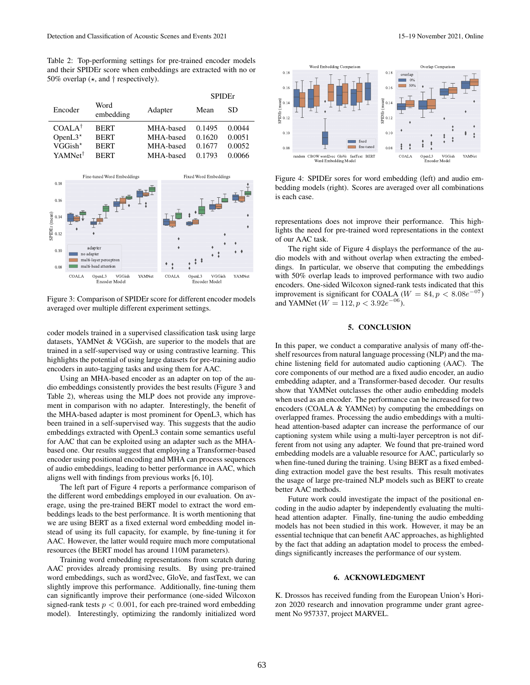Table 2: Top-performing settings for pre-trained encoder models and their SPIDEr score when embeddings are extracted with no or 50% overlap  $(*, and  $\dagger$  respectively).$ 

|                   |           | <b>SPIDE</b> r |        |
|-------------------|-----------|----------------|--------|
| Word<br>embedding | Adapter   | Mean           | SD     |
| <b>BERT</b>       | MHA-based | 0.1495         | 0.0044 |
| <b>BERT</b>       | MHA-based | 0.1620         | 0.0051 |
| <b>BERT</b>       | MHA-based | 0.1677         | 0.0052 |
| <b>RERT</b>       | MHA-based | 0.1793         | 0.0066 |
|                   |           |                |        |



Figure 3: Comparison of SPIDEr score for different encoder models averaged over multiple different experiment settings.

coder models trained in a supervised classification task using large datasets, YAMNet & VGGish, are superior to the models that are trained in a self-supervised way or using contrastive learning. This highlights the potential of using large datasets for pre-training audio encoders in auto-tagging tasks and using them for AAC.

Using an MHA-based encoder as an adapter on top of the audio embeddings consistently provides the best results (Figure 3 and Table 2), whereas using the MLP does not provide any improvement in comparison with no adapter. Interestingly, the benefit of the MHA-based adapter is most prominent for OpenL3, which has been trained in a self-supervised way. This suggests that the audio embeddings extracted with OpenL3 contain some semantics useful for AAC that can be exploited using an adapter such as the MHAbased one. Our results suggest that employing a Transformer-based encoder using positional encoding and MHA can process sequences of audio embeddings, leading to better performance in AAC, which aligns well with findings from previous works [6, 10].

The left part of Figure 4 reports a performance comparison of the different word embeddings employed in our evaluation. On average, using the pre-trained BERT model to extract the word embeddings leads to the best performance. It is worth mentioning that we are using BERT as a fixed external word embedding model instead of using its full capacity, for example, by fine-tuning it for AAC. However, the latter would require much more computational resources (the BERT model has around 110M parameters).

Training word embedding representations from scratch during AAC provides already promising results. By using pre-trained word embeddings, such as word2vec, GloVe, and fastText, we can slightly improve this performance. Additionally, fine-tuning them can significantly improve their performance (one-sided Wilcoxon signed-rank tests  $p < 0.001$ , for each pre-trained word embedding model). Interestingly, optimizing the randomly initialized word



Figure 4: SPIDEr sores for word embedding (left) and audio embedding models (right). Scores are averaged over all combinations is each case.

representations does not improve their performance. This highlights the need for pre-trained word representations in the context of our AAC task.

The right side of Figure 4 displays the performance of the audio models with and without overlap when extracting the embeddings. In particular, we observe that computing the embeddings with 50% overlap leads to improved performance with two audio encoders. One-sided Wilcoxon signed-rank tests indicated that this improvement is significant for COALA ( $W = 84$ ,  $p < 8.08e^{-07}$ ) and YAMNet ( $W = 112, p < 3.92e^{-06}$ ).

# 5. CONCLUSION

In this paper, we conduct a comparative analysis of many off-theshelf resources from natural language processing (NLP) and the machine listening field for automated audio captioning (AAC). The core components of our method are a fixed audio encoder, an audio embedding adapter, and a Transformer-based decoder. Our results show that YAMNet outclasses the other audio embedding models when used as an encoder. The performance can be increased for two encoders (COALA & YAMNet) by computing the embeddings on overlapped frames. Processing the audio embeddings with a multihead attention-based adapter can increase the performance of our captioning system while using a multi-layer perceptron is not different from not using any adapter. We found that pre-trained word embedding models are a valuable resource for AAC, particularly so when fine-tuned during the training. Using BERT as a fixed embedding extraction model gave the best results. This result motivates the usage of large pre-trained NLP models such as BERT to create better AAC methods.

Future work could investigate the impact of the positional encoding in the audio adapter by independently evaluating the multihead attention adapter. Finally, fine-tuning the audio embedding models has not been studied in this work. However, it may be an essential technique that can benefit AAC approaches, as highlighted by the fact that adding an adaptation model to process the embeddings significantly increases the performance of our system.

#### 6. ACKNOWLEDGMENT

K. Drossos has received funding from the European Union's Horizon 2020 research and innovation programme under grant agreement No 957337, project MARVEL.